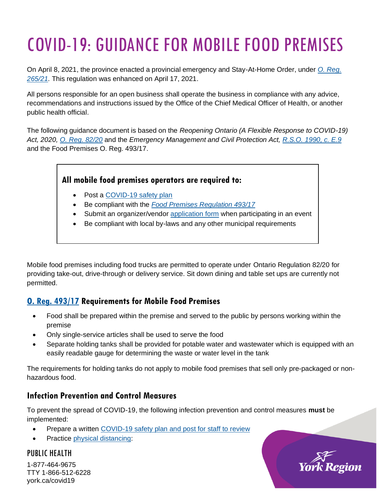# COVID-19: GUIDANCE FOR MOBILE FOOD PREMISES

On April 8, 2021, the province enacted a provincial emergency and Stay-At-Home Order, under *[O. Reg.](https://www.ontario.ca/laws/regulation/210265)  [265/21.](https://www.ontario.ca/laws/regulation/210265)* This regulation was enhanced on April 17, 2021.

All persons responsible for an open business shall operate the business in compliance with any advice, recommendations and instructions issued by the Office of the Chief Medical Officer of Health, or another public health official.

The following guidance document is based on the *Reopening Ontario (A Flexible Response to COVID-19) Act, 2020, O. Reg. [82/20](https://www.ontario.ca/laws/regulation/200082)* and the *Emergency Management and Civil Protection Act, [R.S.O. 1990, c. E.9](https://www.ontario.ca/laws/statute/90e09)* and the Food Premises O. Reg. 493/17.

#### **All mobile food premises operators are required to:**

- Post a [COVID-19 safety plan](https://www.ontario.ca/page/develop-your-covid-19-workplace-safety-plan)
- Be compliant with the *[Food Premises Regulation 493/17](https://www.ontario.ca/laws/regulation/170493)*
- Submit an organizer/vendor [application form](https://www.york.ca/wps/portal/yorkhome/health/yr/foodsafety/specialeventsfarmersmarketsandwildgamedinners/specialevents/!ut/p/z1/xZJfb5swFMU_Sx_yiHwxEDuPLs0CtCFZu_yBl8gCQ9wGk4KXNvv0M1WnVpWarurQ_GDL9vG5uj8flKI1ShU_yJJrWSu-M_skHW5CNgmD4BKimUt9YDBjESYUxiMbrZ4E8M5ggNK_eX9CkJ62X6IUpftM5ijBDifYI8TyRAaWK2zb4p4zsoTnubjIqe25o06dKb3XW5Qcm01WKy2UHsCxbu7MptVS_3w62NaVMLPgO70dQFHXecsLoY8DaPcik3wnDkbXFrypRNNWvLkTuuUqf5C7vOSVyKVS5uKNHEUf8TDAcTP1p6XpiuutJVVRo_VLfbT-VP038s5e3t7fp8xg6Hp_1Gj9Pzisuo94TWJyQ10IlxFhS3sGbug8CzB2h4HtQwTBjEL4jcy9CxrYcImfBSeykZhskXdhX2O0OkjxgBaqbiqT9ZtPRin4U4FQnwVsAnP4sSDwfUxcOryazq-u7S9W-KCBnu2dXu0J9GuP-7X_N3CiEHybdfF3xg4wHPr03IloHPfLPu6Xfdwv-7jf3C-_CmdfLRYVdbxdSfUovPXKanNxHltJdPh1cpmys7PfTp0LPA!!/dz/d5/L2dBISEvZ0FBIS9nQSEh/#.XvJd05hKjDc) when participating in an event
- Be compliant with local by-laws and any other municipal requirements

Mobile food premises including food trucks are permitted to operate under Ontario Regulation 82/20 for providing take-out, drive-through or delivery service. Sit down dining and table set ups are currently not permitted.

# **[O. Reg. 493/17](https://www.ontario.ca/laws/regulation/170493) Requirements for Mobile Food Premises**

- Food shall be prepared within the premise and served to the public by persons working within the premise
- Only single-service articles shall be used to serve the food
- Separate holding tanks shall be provided for potable water and wastewater which is equipped with an easily readable gauge for determining the waste or water level in the tank

The requirements for holding tanks do not apply to mobile food premises that sell only pre-packaged or nonhazardous food.

## **Infection Prevention and Control Measures**

To prevent the spread of COVID-19, the following infection prevention and control measures **must** be implemented:

- Prepare a written [COVID-19 safety plan](https://www.ontario.ca/page/develop-your-covid-19-workplace-safety-plan) and post for staff to review
- Practice [physical distancing:](https://www.york.ca/wps/wcm/connect/yorkpublic/8b46e61b-af4d-4787-a77b-4100b75df288/202032-03b_Practicing%2BSocial%2BDistancing_8-5x11.pdf?MOD=AJPERES&CVID=n5svRxd)

#### PUBLIC HEALTH

1-877-464-9675 TTY 1-866-512-6228 york.ca/covid19

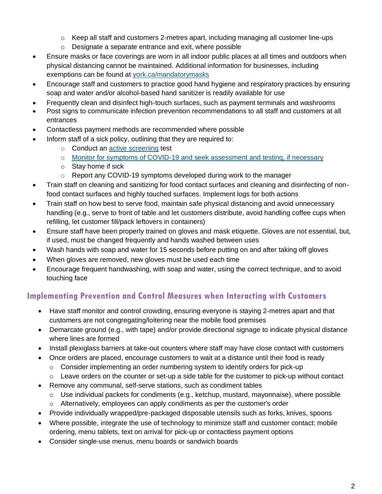- $\circ$  Keep all staff and customers 2-metres apart, including managing all customer line-ups
- o Designate a separate entrance and exit, where possible
- Ensure masks or face coverings are worn in all indoor public places at all times and outdoors when physical distancing cannot be maintained. Additional information for businesses, including exemptions can be found at [york.ca/mandatorymasks](http://www.york.ca/mandatorymasks)
- Encourage staff and customers to practice good hand hygiene and respiratory practices by ensuring soap and water and/or alcohol-based hand sanitizer is readily available for use
- Frequently clean and disinfect high-touch surfaces, such as payment terminals and washrooms
- Post signs to communicate infection prevention recommendations to all staff and customers at all entrances
- Contactless payment methods are recommended where possible
- Inform staff of a sick policy, outlining that they are required to:
	- o Conduct an [active screening](https://www.york.ca/wps/wcm/connect/yorkpublic/895d5afe-82c5-4595-bb56-3abdd6bc8af8/202032_48_Assessment+and+Covid+19.pdf?MOD=AJPERES&CACHEID=ROOTWORKSPACE.Z18_29D41BG0PGOC70QQGGJK4I0004-895d5afe-82c5-4595-bb56-3abdd6bc8af8-n98XQJp) test
	- o [Monitor for symptoms of COVID-19 and seek assessment and testing,](https://www.york.ca/wps/portal/yorkhome/health/yr/covid-19/symptomstransmissiontreatmentandtesting/) if necessary
	- o Stay home if sick
	- o Report any COVID-19 symptoms developed during work to the manager
- Train staff on cleaning and sanitizing for food contact surfaces and cleaning and disinfecting of nonfood contact surfaces and highly touched surfaces. Implement logs for both actions
- Train staff on how best to serve food, maintain safe physical distancing and avoid unnecessary handling (e.g., serve to front of table and let customers distribute, avoid handling coffee cups when refilling, let customer fill/pack leftovers in containers)
- Ensure staff have been properly trained on gloves and [mask](https://www.york.ca/wps/wcm/connect/yorkpublic/ee9868ec-9778-49d4-bbdd-0fe9ab893feb/202032_47_+How+to+Wear+a+Mask.pdf?MOD=AJPERES&CACHEID=ROOTWORKSPACE.Z18_29D41BG0PGOC70QQGGJK4I0004-ee9868ec-9778-49d4-bbdd-0fe9ab893feb-n98JKqP) etiquette. Gloves are not essential, but, if used, must be changed frequently and hands washed between uses
- Wash hands with soap and water for 15 seconds before putting on and after taking off gloves
- When gloves are removed, new gloves must be used each time
- Encourage frequent handwashing, with soap and water, using the correct technique, and to avoid touching face

# **Implementing Prevention and Control Measures when Interacting with Customers**

- Have staff monitor and control crowding, ensuring everyone is staying 2-metres apart and that customers are not congregating/loitering near the mobile food premises
- Demarcate ground (e.g., with tape) and/or provide directional signage to indicate physical distance where lines are formed
- Install plexiglass barriers at take-out counters where staff may have close contact with customers
- Once orders are placed, encourage customers to wait at a distance until their food is ready
	- o Consider implementing an order numbering system to identify orders for pick-up
	- $\circ$  Leave orders on the counter or set-up a side table for the customer to pick-up without contact
- Remove any communal, self-serve stations, such as condiment tables
	- o Use individual packets for condiments (e.g., ketchup, mustard, mayonnaise), where possible
	- $\circ$  Alternatively, employees can apply condiments as per the customer's order
- Provide individually wrapped/pre-packaged disposable utensils such as forks, knives, spoons
- Where possible, integrate the use of technology to minimize staff and customer contact: mobile ordering, menu tablets, text on arrival for pick-up or contactless payment options
- Consider single-use menus, menu boards or sandwich boards